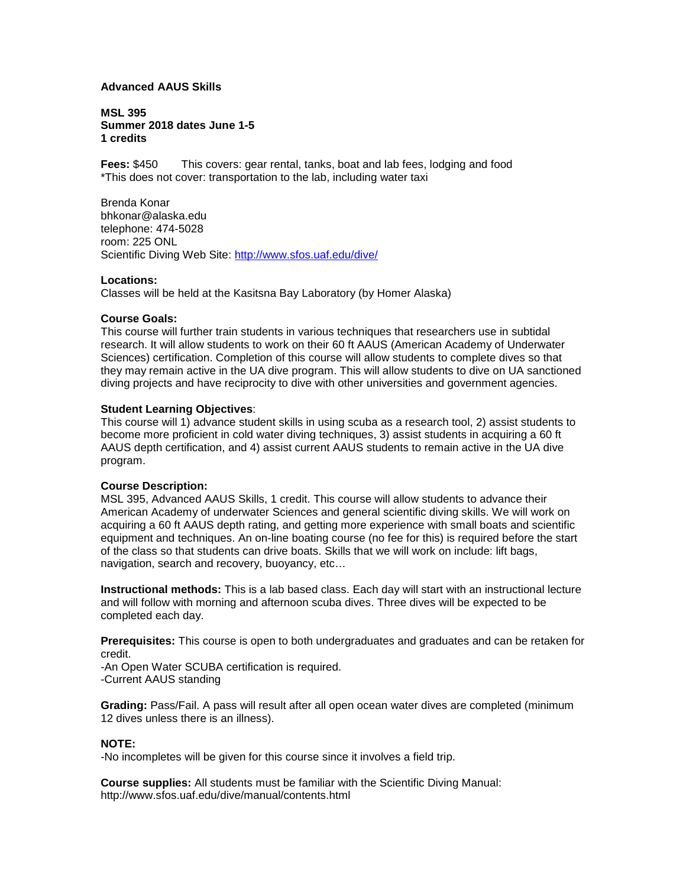## **Advanced AAUS Skills**

**MSL 395 Summer 2018 dates June 1-5 1 credits**

**Fees:** \$450 This covers: gear rental, tanks, boat and lab fees, lodging and food \*This does not cover: transportation to the lab, including water taxi

Brenda Konar bhkonar@alaska.edu telephone: 474-5028 room: 225 ONL Scientific Diving Web Site:<http://www.sfos.uaf.edu/dive/>

#### **Locations:**

Classes will be held at the Kasitsna Bay Laboratory (by Homer Alaska)

## **Course Goals:**

This course will further train students in various techniques that researchers use in subtidal research. It will allow students to work on their 60 ft AAUS (American Academy of Underwater Sciences) certification. Completion of this course will allow students to complete dives so that they may remain active in the UA dive program. This will allow students to dive on UA sanctioned diving projects and have reciprocity to dive with other universities and government agencies.

## **Student Learning Objectives**:

This course will 1) advance student skills in using scuba as a research tool, 2) assist students to become more proficient in cold water diving techniques, 3) assist students in acquiring a 60 ft AAUS depth certification, and 4) assist current AAUS students to remain active in the UA dive program.

#### **Course Description:**

MSL 395, Advanced AAUS Skills, 1 credit. This course will allow students to advance their American Academy of underwater Sciences and general scientific diving skills. We will work on acquiring a 60 ft AAUS depth rating, and getting more experience with small boats and scientific equipment and techniques. An on-line boating course (no fee for this) is required before the start of the class so that students can drive boats. Skills that we will work on include: lift bags, navigation, search and recovery, buoyancy, etc…

**Instructional methods:** This is a lab based class. Each day will start with an instructional lecture and will follow with morning and afternoon scuba dives. Three dives will be expected to be completed each day.

**Prerequisites:** This course is open to both undergraduates and graduates and can be retaken for credit.

-An Open Water SCUBA certification is required. -Current AAUS standing

**Grading:** Pass/Fail. A pass will result after all open ocean water dives are completed (minimum 12 dives unless there is an illness).

## **NOTE:**

-No incompletes will be given for this course since it involves a field trip.

**Course supplies:** All students must be familiar with the Scientific Diving Manual: http://www.sfos.uaf.edu/dive/manual/contents.html